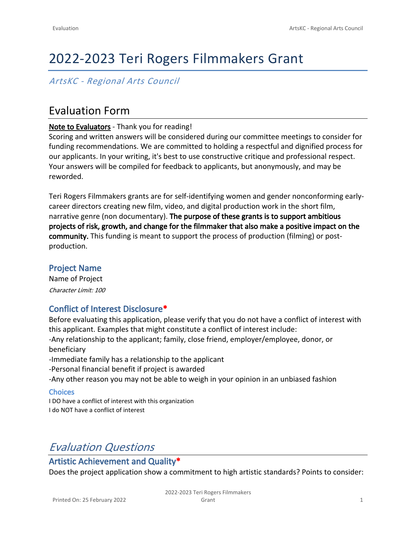# 2022-2023 Teri Rogers Filmmakers Grant

# *ArtsKC - Regional Arts Council*

# Evaluation Form

#### **Note to Evaluators** - Thank you for reading!

Scoring and written answers will be considered during our committee meetings to consider for funding recommendations. We are committed to holding a respectful and dignified process for our applicants. In your writing, it's best to use constructive critique and professional respect. Your answers will be compiled for feedback to applicants, but anonymously, and may be reworded.

Teri Rogers Filmmakers grants are for self-identifying women and gender nonconforming earlycareer directors creating new film, video, and digital production work in the short film, narrative genre (non documentary). **The purpose of these grants is to support ambitious projects of risk, growth, and change for the filmmaker that also make a positive impact on the community.** This funding is meant to support the process of production (filming) or postproduction.

## **Project Name**

Name of Project *Character Limit: 100*

# **Conflict of Interest Disclosure\***

Before evaluating this application, please verify that you do not have a conflict of interest with this applicant. Examples that might constitute a conflict of interest include: -Any relationship to the applicant; family, close friend, employer/employee, donor, or beneficiary -Immediate family has a relationship to the applicant -Personal financial benefit if project is awarded -Any other reason you may not be able to weigh in your opinion in an unbiased fashion **Choices** I DO have a conflict of interest with this organization

I do NOT have a conflict of interest

# *Evaluation Questions*

# **Artistic Achievement and Quality\***

Does the project application show a commitment to high artistic standards? Points to consider: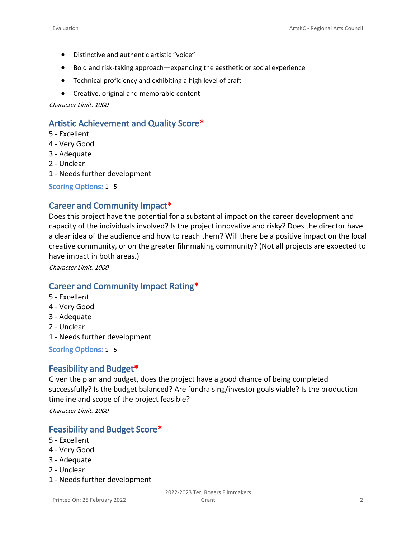- Distinctive and authentic artistic "voice"
- Bold and risk-taking approach—expanding the aesthetic or social experience
- Technical proficiency and exhibiting a high level of craft
- Creative, original and memorable content

*Character Limit: 1000*

## **Artistic Achievement and Quality Score\***

- 5 Excellent
- 4 Very Good
- 3 Adequate
- 2 Unclear
- 1 Needs further development

**Scoring Options:** 1 - 5

#### **Career and Community Impact\***

Does this project have the potential for a substantial impact on the career development and capacity of the individuals involved? Is the project innovative and risky? Does the director have a clear idea of the audience and how to reach them? Will there be a positive impact on the local creative community, or on the greater filmmaking community? (Not all projects are expected to have impact in both areas.)

*Character Limit: 1000*

## **Career and Community Impact Rating\***

- 5 Excellent
- 4 Very Good
- 3 Adequate
- 2 Unclear
- 1 Needs further development

**Scoring Options:** 1 - 5

#### **Feasibility and Budget\***

Given the plan and budget, does the project have a good chance of being completed successfully? Is the budget balanced? Are fundraising/investor goals viable? Is the production timeline and scope of the project feasible?

*Character Limit: 1000*

## **Feasibility and Budget Score\***

- 5 Excellent
- 4 Very Good
- 3 Adequate
- 2 Unclear
- 1 Needs further development